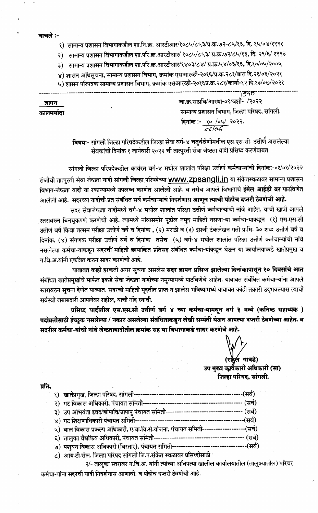वाचले :-

ज्ञापन

कालमर्यादा

- १) सामान्य प्रशासन विभागाकडील शा.नि.क्र. आरटीआर/१०८५/८५३/प्र.क्र.७२-८५/१३, दि. १५/०४/१९९१
- २) सामान्य प्रशासन विभागाकडील शा.परि.क्र.आरटीआर/ १०८५/८५३/ प्र.क्र.७२/८५/१३, दि. २९/६/ १९९३
- ३) सामान्य प्रशासन विभागाकडील शा.परि.क्र.आरटीआर/१४०३/८४/ प्र.क्र.५४/०३/१३, दि.१०/०५/२००५
- ४) शासन अधिसुचना, सामान्य प्रशासन विभाग, क्रमांक एसआरव्ही-२०१६/प्र.क्र.२८१/बारा दि.२१/०६/२०२१
- ५) शासन परिपत्रक सामान्य प्रशासन विभाग, क्रमांक एसआरव्ही-२०१६प्र.क्र.२८१/कार्या-१२ दि.१३/०७/२०२१

1340

जा.क्र.साप्रवि/आस्था-०९/वशी-ं /२०२२ सामान्य प्रशासन विभाग, जिल्हा परिषद, सांगली. दिनांक :- <u>१० /०५/</u> २०२२.<br>*66106* 

विषयः- सांगली जिल्हा परिषदेकडील जिल्हा सेवा वर्ग-४ चतुर्थश्रेणीमधील एस.एस.सी. उत्तीर्णं असलेल्या सेवकांची दिनांक १ जानेवारी २०२२ ची तात्पुरती सेवा जेष्ठता यादी प्रसिध्द करणेबाबत

सांगली जिल्हा परिषदेकडील कार्यरत वर्ग-४ मधील शालांत परिक्षा उत्तीर्ण कर्मचाऱ्यांची दिनांक:-०१/०१/२०२२ रोजीची तात्पुरती सेवा जेष्ठता यादी सांगली जिल्हा परिषदेच्या WWW.ZDSANgli.in या संकेतस्थळावर सामान्य प्रशासन विभाग-जेष्ठता यादी या रकान्यामध्ये उपलब्ध करणेत आलेली आहे. व तसेच आपले विभागाचे **ईमेल आईडी वर** पाठविणेत आलेली आहे. सदरच्या यादीची प्रत संबंधित सर्व कर्मचाऱ्यांचे निदर्शणास **आणून त्याची पोहोच दप्तरी ठेवणेची आहे.** 

सदर सेवाजेष्ठता यादीमध्ये वर्ग-४ मधील शालांत परिक्षा उत्तीर्ण कर्मचाऱ्यांची नांवे आहेत, याची खात्री आपले स्तरावरुन बिनचुकपणे करणेची आहे. त्यामध्ये नांवासमोर पुढील नमूद माहिती नसणा-या कर्मचा-याकडून (१) एस.एस.सी उर्तीर्ण वर्षे किंवा तत्सम परीक्षा उत्तीर्ण वर्षे व दिनांक , (२) मराठी व (३) इंग्रजी टंकलेखन गती प्र मि. ३० शब्द उत्तीर्ण वर्षे व दिनांक, (४) संगणक परीक्षा उत्तीर्ण वर्षे व दिनांक तसेच (५) वर्ग-४ मधील शालांत परिक्षा उत्तीर्ण कर्मचाऱ्यांची नांवे नसलेल्या कर्मचा-याकडून सदरची माहिती छायाकिंत प्रतिसह संबंधित कर्मचा-यांकडून घेऊन या कार्यालयाकडे खातेप्रमुख व ग.वि.अ.यांनी एकत्रित करुन सादर करणेची आहे.

याबाबत काही हरकती अगर सुचना असलेस **सदर ज्ञापन प्रसिध्द झालेल्या दिनांकापासून १० दिवसांचे आत** संबंधित खातेप्रमुखांचे मार्फत इकडे सेवा जेष्ठता यादीच्या नमुन्यामध्ये पाठविणेचे आहेत. याबाबत संबंधित कर्मचाऱ्यांना आपले स्तरावरुन सुचना देणेत याव्यात. सदरची माहिती मूदतीत प्राप्त न झालेस भविष्यामध्ये याबाबत कांही तक्रारी उद्भवल्यास त्याची सर्वस्वी जबाबदारी आपलेवर राहील, याची नोंद घ्यावी.

प्रसिध्द यादीतील एस.एस.सी उत्तीर्ण वर्ग ४ च्या कर्मचा-यामधून वर्ग ३ मध्ये (कनिष्ठ सहाय्यक ) पदोन्नतीसाठी ईच्छुक नसलेल्या / नकार असलेल्या संबंधिताकडून लेखी सम्मंती घेऊन आपल्या दप्तरी ठेवणेच्या आहेत. व सदरील कर्मचा-यांची नांवे जेष्ठतायादीतील क्रमांक सह या विभागाकडे सादर करणेचे आहे.

र्ल गावडे)

उप मुख्य कर्ष्यकारी अधिकारी (सा) जिल्हा परिषद, सांगली.

प्रति,

| १) खातेप्रमुख, जिल्हा परिषद, सांगली-----                                                                                      | (सर्व)  |
|-------------------------------------------------------------------------------------------------------------------------------|---------|
| २) गट विकास अधिकारी, पंचायत समिती-                                                                                            | (सर्व)  |
| ३) उप अभियंता इवद/छोपावि/ग्रापापु पंचायत समिती--                                                                              | (सर्व)  |
| ४) गट शिक्षणाधिकारी पंचायत समिती---                                                                                           | (सर्व)  |
| ५)  बाल विकास प्रकल्प अधिकारी, ए.बा.वि.से.योजना, पंचायत समिती-------------                                                    | -(सर्व) |
| ६)  तालुका वैद्यकिय अधिकारी, पंचायत समिती---                                                                                  | (सर्व)  |
| ७) पशुधन विकास अधिकारी (विस्तार), पंचायत समिती--                                                                              | -(सर्व) |
| $\Delta$ and $\Delta$ and $\Delta$ and $\Delta$ and $\Delta$ and $\Delta$ and $\Delta$ and $\Delta$ and $\Delta$ and $\Delta$ |         |

८) आय.टी.सेल, जिल्हा परिषद सांगली जि.प.संकेत स्थळावर प्रसिध्दीसाठी

२/- तालुका स्तरावर ग.वि.अ. यांनी त्यांच्या अधिपत्या खालील कार्यालयातील (तालुक्यातील) परिचर

कर्मचा-यांना सदरची यादी निदर्शनास आणावी. व पोहोच दप्तरी ठेवणेची आहे.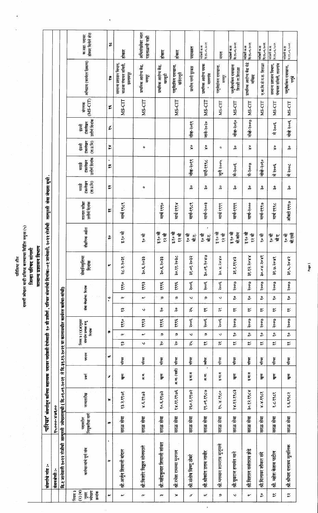## परिशिष्ट तीन<br>दस्वर्षी ज्येखता यादी प्रसिग्ध करण्याचा विहिति नमुना (५)<br>जिल्ह्या **परिभद सांगली**

ة<br>1

 $\overline{1}$ ı T ı

|                                                          |                                                                   |                             |                                                                                                       |                |       |                    |                                                         |                                                    |                          |                                        |      | पास्तान्य प्रशासन विभा |                           |                                  |                        |                                      |                                |                                 |                   |                                                            |                                   |
|----------------------------------------------------------|-------------------------------------------------------------------|-----------------------------|-------------------------------------------------------------------------------------------------------|----------------|-------|--------------------|---------------------------------------------------------|----------------------------------------------------|--------------------------|----------------------------------------|------|------------------------|---------------------------|----------------------------------|------------------------|--------------------------------------|--------------------------------|---------------------------------|-------------------|------------------------------------------------------------|-----------------------------------|
|                                                          | संबगांचे नांव :-                                                  |                             | 'परिचर' संवर्गातून कनिष्ठ सहाव्यक  पदावर पदोन्नती देणेसाठी  १० वी उत्तीर्ण , परिचर संवर्गाची दिनांक:- |                |       |                    |                                                         |                                                    |                          |                                        |      |                        | -०१ जानेवारी, २०२२ रोजीची | तात्पूरती सेवा जेखता सूची        |                        |                                      |                                |                                 |                   |                                                            |                                   |
|                                                          | वेतनश्रेणी :-                                                     | ००३९४-०००५१                 |                                                                                                       |                |       |                    |                                                         |                                                    |                          |                                        |      |                        |                           |                                  |                        |                                      |                                |                                 |                   |                                                            |                                   |
|                                                          | दि.१ जानेवारी २०२२ रोजीची तात्पुरती ज्येष्ठतासुची ( दि.०१.०१.२०२१ |                             |                                                                                                       |                |       |                    |                                                         | ते दि.३१.१२.२०२१ या कालावधीत कार्यरत कर्मचा-यांची) |                          |                                        |      |                        |                           |                                  |                        |                                      |                                |                                 |                   |                                                            |                                   |
| $(5)$ $(4)$<br>नियम ३<br>नुष्कता<br>ज्येष्ठता<br>क्रमांक | कर्मचाऱ्यांचे पूर्ण नांव                                          | नियुक्तीचा मार्ग<br>पदावरील | जन्मतारीख                                                                                             | $\overline{R}$ | पदनाम |                    | नियम ३ (२)(अ)नुसार<br>संवर्गात प्रत्यक्ष रुजू<br>दिनांक |                                                    |                          | सेवा जेखतेचा दिनांक                    |      | सेवानिवृतिचा<br>दिनांक | शैक्षणिक अहंता            | शालात परीक्षा<br>उत्तीर्ण दिनांक | टकलेखन<br>(7.5.7)<br>Ţ | उत्तीर्ण दिनांक<br>टंकलेखन<br>हिप्रम | (71.7.7)<br>टंकलेखन<br>इंग्रजी | उत्तीर्ण दिनांक<br>टंकलेखन<br>Į | (MS-CIT)<br>संगणक | अभिप्राय (कार्यरत ठिकाण)                                   | होकार दिलेले शेरा<br>क.सहा. पदावर |
| $\tilde{\phantom{a}}$                                    | $\ddot{\phantom{0}}$<br>œ                                         | œ                           | $\blacktriangleright$                                                                                 | 5              | w     |                    | و                                                       |                                                    |                          | $\ddot{\cdot}$                         |      | $\bullet$              | $\rm ^o$                  | $\approx$                        | e.                     | $\bullet$<br>n.<br>G                 | $\approx$                      | ž.                              | یع                | 2                                                          | పై                                |
| $\tilde{}$                                               | श्री.अर्जुन शिवाजी बांदल                                          | सरळ सेवा                    | १३.२.१९७१                                                                                             | खुला           | परिचर | $\tilde{z}$        | $\sim$                                                  | १९९०                                               | $\tilde{z}$              | $\boldsymbol{\alpha}$                  | १९९० | २८.२.२०३१              | इ.१० वी                   | मार्च १९८९                       |                        |                                      |                                |                                 | MS-CIT            | वाळवा पंचायत समिती,<br>सामान्य प्रशासन विभाग,<br>इस्लामपूर | होकार                             |
| $\boldsymbol{\alpha}$                                    | श्री किशोर विठ्ठल सोनपराते                                        | सरळ सेवा                    | 5088.5.8                                                                                              | ज.ज.           | परिचर | $\checkmark$       | $\tilde{}$                                              | १९९३                                               | $\checkmark$             | $\sim$                                 | १९९३ | ३०.६.२०३३              | १० वी                     |                                  | ۰                      |                                      | o                              |                                 | MS-CIT            | प्राथमिक आरोग्य केंद्र,<br>मणदूर                           | अधिसंख्येवर जात<br>पडताळणी नाही   |
| m                                                        | श्री महेंद्रकुमार शिवाजी सांवत                                    | सरळ सेवा                    | १०.६.१९७३                                                                                             | <u>हु</u> ,    | परिचर | ಸಿ                 | و                                                       | १९९६                                               | ဥ                        | פ                                      | १९६  | ३०.६.२०३३              | इ.१० वी<br>१२ वी          | मार्च १९९०                       | $\epsilon \ll$         |                                      |                                |                                 |                   | प्राथमिक आरोग्य केंद्र,<br>खरसूडी                          | होकार                             |
| $\Join$                                                  | श्री रमेश रामय्या मुनगल                                           | सरळ सेवा                    | १४.११.१९७६                                                                                            | 河市(市)          | परिचर | ನಿ                 | פ                                                       | १९९६                                               | ಸಿ                       | و                                      | १९९६ | ३०.११.२०३८             | इ.१० वी<br>१२ वी          | मार्च १९९४                       |                        |                                      |                                |                                 | MS-CIT            | पशुवेद्यकिय दवाखाना,<br>खंडेराजूरी                         | होकार                             |
| سی                                                       | श्री संतोष विष्णू ठोबरे                                           | सरळ सेवा                    | २६०.१.१९७२                                                                                            | इ.मा.व         | परिचर | $\tilde{\kappa}$   | $\checkmark$                                            | २००६                                               | $\tilde{\tilde{\gamma}}$ | $\checkmark$                           | २००६ | ३१.०१.२०३२             | ी<br>२<br>्<br>बी         | मार्च-१९८९                       | ႙                      | नॉक-२०१९                             | š                              | नोव्ह-२०१९                      |                   | ग्रामीण पाणी पुरवठा                                        | पदावन्नत                          |
| کنا                                                      | श्री श्रीकांत उत्तम जावीर                                         | सरळ सेवा                    | १९.०९.१९८७                                                                                            | ज<br>ज         | 青     | x                  | ୭                                                       | २००६                                               | X                        | ø                                      | २००६ | ०.०९.१०४७              | ٠<br>क<br>९<br>र्ने हैं:  | मार्च-२००३                       | ္က                     | सप्टे-१९९८                           | $\overset{\circ}{\mathsf{x}}$  | जाने-२०२०                       | MS-CIT            | प्राथमिक आरोग्य पथक<br>- मालगांव                           | परोब्रती क.म<br>दि १६,०६,२०२१     |
| פ                                                        | श्री भगवान शामराव मुजूमले                                         | सरळ सेवा                    | 84.8.820                                                                                              | इ.मा.व         | परिचर | $\tilde{\tilde{}}$ | $\checkmark$                                            | २००६                                               | $\approx$                | $\ddot{\mathsf{v}}$                    | २००६ | १.२०४०<br>४०६          | इ १० वी<br>ूर वी          | मार्च १९९९                       | နိ                     | जूले २००५                            | ۰                              |                                 | MS-CIT            | पशुवेद्यकिय दवाखाना,<br>मणदूर                              | मयत                               |
| $\checkmark$                                             | श्री युवराज हणमंत माने                                            | सरळ सेवा                    | २४.१२.१९८३                                                                                            | हुला           | परिचर | $\approx$          | ನಿ                                                      | २००७                                               | $\approx$                | ್ಲಿ                                    | २००७ | ३१.१.१९४३              | इ १० वी<br>बी.कॉम         | मार्च-१९९९                       | ပို့                   | मे-२००६                              | ္ကိ                            | नॉल-२०१०                        | MS-CIT            | पशुवेदयकिय दवाखाना<br>शिरशी ता.शिराळा                      | दिश्६.०६.२०२१<br>पदोन्नती क.स     |
| $\mathbf{C}$                                             | श्री विशाल वसंतराव झेडे                                           | सरळ सेवा                    | ३०.१२.१९८४                                                                                            | इ.मा.व         | परिचर | $\approx$          | $\stackrel{\mathtt{o}}{\mathtt{\sim}}$                  | २००७                                               | $\approx$                | $\stackrel{\mathtt{o}}{\mathtt{\sim}}$ | २००७ | ११.१२.०४४              | इ १० वी<br>१२ वी          | मार्च-२०००                       | နိ                     | मे-२००७                              | $\stackrel{\circ}{\mathbf{x}}$ | नॉले-२००७                       | MS-CIT            | प्राथमिक आरोग्य केंद्र येडे<br>मच्छिद्र                    | पदोन्नती क.स<br>दि.१६.०६.२०२१     |
| ್ಲಿ                                                      | श्री दिलावर शौकत संदे                                             | सरळ सेवा                    | 8.8.3.28                                                                                              | हु<br>जु       | परिचर | $\approx$          | ್ಲಿ                                                     | २००७                                               | $\approx$                | ್ಲಿ                                    | २००७ | ३०.०४.२०४१             | १० वी                     | मार्च-१९९७                       | ္ဂ                     | नोव्हे-२०१०                          |                                |                                 | MS-CIT            | ए.बा.वि.से.प.स. शिराळा                                     | पदोन्नती क.स<br>दि.१६.०६.२०२१     |
| $\approx$                                                | श्री. महेश केशव पाटील                                             | सरळ सेवा                    | 8.6.8868                                                                                              | <b>i</b>       | पीचर  | $\approx$          | $\stackrel{\mathtt{o}}{\mathtt{\sim}}$                  | २००७                                               | $\approx$                | $\stackrel{\mathtt{o}}{\sim}$          | २००७ | ३१.७.२०४१              | ी<br>१०<br>र्ज<br>बा      | मार्च १९९८                       | 유                      | मे २००६                              | š                              | मे २००६                         | MS-CIT            | सामान्य प्रशासन विभाग,<br>पंचायत समिती, तासगांव            | परोप्रती क.स<br>रि.१६.०६.२०२१     |
| $\tilde{\tilde{\mathbf{z}}}$                             | श्री.श्रीपाद दत्तात्रय मुतालिक                                    | सरळ सेवा                    | १.६१९८२                                                                                               |                | परिचर | $\approx$          | $\stackrel{\mathtt{o}}{\mathtt{\sim}}$                  | २००७                                               | $\approx$                | $\stackrel{\mathtt{o}}{\thicksim}$     | २००७ | ३१.५.२०४२              | बो.एसी<br>१० वी           | ऑक्टो १९९७                       | နိ                     | ने २००८                              | ကို                            | नोव्हे २००६                     | MS-CIT            | पशुवैद्यकिय दवाखाना,<br>$\frac{1}{2}$                      | प्र्दोन्नती क.स<br>दि.१६.०६.२०२१  |

,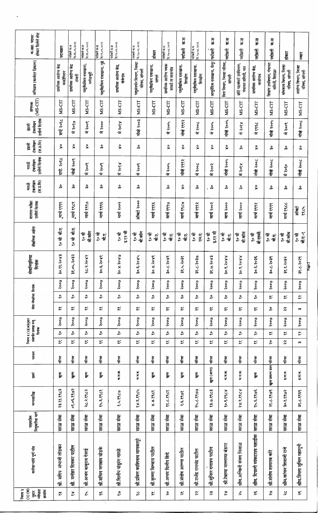| होकार दिलेले शेरा<br>क.सहा. पदावर                                   | पदावशत                               | दि १६.०६.२०२१<br>पदोन्नती क.म    | परोप्रती क.स<br>सि.१६.०६.२०२१     | दिशद्द , २०२१<br>परोप्रती क.स | परोप्रती क.स<br>दि.१६.०६.२०२१     | दि.२७.०८.२०२१<br>पदांत्रती क.स            | होकार                         | दि.२७.०८.२०२१<br>पदोन्नती क.स           | म् स<br>परोजनी                 | दि २७.०८.२०२१<br>पदांत्रती क.म | में भ<br>ं<br>पदांती       | म्र स<br>पदोन्नती                    | म, स<br>पदात्रती                            | 万万<br>पदात्रती                     | में क<br>पदोन्नती                       | होकार                                  | $\frac{1}{2}$                         |        |
|---------------------------------------------------------------------|--------------------------------------|----------------------------------|-----------------------------------|-------------------------------|-----------------------------------|-------------------------------------------|-------------------------------|-----------------------------------------|--------------------------------|--------------------------------|----------------------------|--------------------------------------|---------------------------------------------|------------------------------------|-----------------------------------------|----------------------------------------|---------------------------------------|--------|
| अभिप्राय (कार्यरत ठिकाण)                                            | प्राथमिक आरोग्य केंद्र<br>कावेडीपरान | प्राथमिक आरोग्य केंद्र<br>रांजनी | पशुवेद्यकिय दवाखाना,<br>मणेराजूरी | पशुवैद्यकिय दवाखाना, गुढे     | प्राथमिक आरोग्य केंद्र,<br>बेसांब | पशुसंवर्धन विभाग, जिल्हा<br>परिषद, सांगली | पशुवेद्यकिय दवाखाना,<br>मंगले | प्राथमिक आरोग्य पथक<br>सावडे ता तासगांव | पशुवेद्यकिय दवाखाना,<br>शिरढोण | पशुवैद्यकिय दवाखाना,<br>शिखेण  | आयुर्वेदिक दवाखाना, येलूर् | वित्त विभाग, जिल्हा परिषद,<br>सांगली | छोटे पाटबंधारे उपविभाग,<br>पंचायत समिती, जत | प्राथमिक आरोग्य केंद्र,<br>कासेगाव | शिक्षण उपविभाग, पंचायत<br>समिती, शिराळा | बांधकाम विभाग, जिल्हा<br>परिषद, सांगली | आरोग्य विभाग, जिल्हा<br>परिषद, सांगली |        |
| (MS-CIT)<br>संगणक                                                   | MS-CIT                               | MS-CIT                           | MS-CIT                            | MS-CIT                        | MS-CIT                            | MS-CIT                                    | MS-CIT                        | MS-CIT                                  | MS-CIT                         | MS-CIT                         | MS-CIT                     | MS-CIT                               | MS-CIT                                      | MS-CIT                             | MS-CIT                                  | MS-CIT                                 | MS-CIT                                |        |
| उत्तीर्ण दिनांक<br>टंकलेखन<br>इंग्रजी                               | सप्टें २०१८                          | मे २०१७                          | २००९<br>亇                         | मे २०००                       | मे २०१४                           | नोव्हे २००३                               |                               | २००५<br>乍                               | नोव्हे १९९२                    | मे २००८                        | मे २००५                    | नोर्ब्र २००५                         | $\frac{1}{2}$ or $\frac{1}{2}$<br>仜         | मे १९९८                            | नोव्हे २००५                             | मे २००९                                | नोव्हे २००८                           |        |
| टंकलेखन<br>$(\overline{q}, \overline{q}, \overline{r})$<br>इंग्रजी  | š                                    | $\overset{\circ}{\mathsf{x}}$    | $\boldsymbol{\mathring{x}}$       | ပွဲ                           | $\boldsymbol{\mathsf{x}}$         | ကို                                       |                               | š                                       | ş,                             | $\overset{\circ}{\mathbf{x}}$  | $\mathbf{\hat{x}}$         | š                                    | နိ                                          | š                                  | ő                                       | နိ                                     | $\mathbf{\hat{x}}$                    |        |
| उत्तीर्ण दिनांक<br>टंकलेखन<br>मराठी                                 | सप्टे. २०१८                          | नोव्हें २००९                     | मे २००९                           | २००९<br>ंम                    | ४१०६ मे                           | २००९<br>乍                                 |                               | मे २००५                                 | नोव्हे १९९२                    | मे २००८                        | मे २००२                    | <b>Hook</b>                          | ४०१४<br>ᠷ                                   | नोव्हे २००८                        | नोव्हे २००८                             | मे २०१०                                | नोव्हे २००८                           |        |
| $(\overline{q},\overline{q},\overline{q})$<br>टकलेखन<br><b>TRIP</b> | ပွဲ                                  | ္ကိ                              | ပွဲ                               | ပွဲ                           | ကို                               | နို                                       |                               | ន្ល                                     | š                              | နိ                             | ្លុ                        | နိ                                   | 유                                           | š                                  | နိ                                      | နိ                                     | နိ                                    |        |
| शालात परीक्षा<br>उत्तीण दिनांक                                      | ूमार्च १९९९                          | ूमार्च १९८९                      | मार्च १९९७                        | मार्च १९९६                    | मार्च २००२                        | ऑक्टो २०००                                | मार्च १९९६                    | मार्च १९९७                              | मार्च १९८७                     | मार्च १९९२                     | मार्च २००२                 | माच २०००                             | मार्च २०००                                  | मार्च १९९२                         | मार्च १९९९                              | मार्च १९८८                             | ऑस्टो<br>2824                         |        |
| शैक्षणिक अर्हता                                                     | ंबी.<br>ू० जू                        | जी.ए.<br>१० वीं                  | बी.कॉम<br>ू० जू                   | ैं है<br>बी.ए.                | इ.१२ वी<br>१० वीं                 | बी.कॉम<br>रू ०                            | ी<br>२<br>र्जा.               | ैं थे<br>र्ने.ए.                        | ी<br>२<br>र्नो.ए.              | रू की<br>एम.<br>मृत्           | इ.१२ वी<br>१० वी           | ी<br>२<br>र्ने.ए.                    | बी.कॉम<br>१०वीं                             | बी.एस्सी.<br>ैं है                 | ी<br>२<br>ची.ए.                         | नी.कॉम<br>१० वी                        | बी.ए.-१<br>ी<br>२                     |        |
| सेवानिवृतिचा<br>दिनांक                                              | रे०४३<br>30.88                       | २०३२<br>38.04                    | २०४२<br>ર્~                       | २०४१<br>ښ<br>چو               | १०४७<br>३०.४                      | 5084<br>به<br>و                           | १०४१<br>४.०६<br>२             | २०४१<br>ತ್ತಿ.                           | २०३१<br>نړ<br>پېړ              | २०३७<br>نڊ<br>پو               | <b>Exos</b><br>32.9        | १४०६<br>30.8                         | १४०६<br>्<br>२०                             | २०३६<br>ښه<br>په                   | २०३९<br>30.4                            | २०३२<br>$\ddot{\tilde{z}}$             | २०२९<br>$\frac{1}{\alpha}$            | Page 2 |
|                                                                     | २००७                                 | २००७                             | २००७                              | २००७                          | २००७                              | २००७                                      | २००७                          | २००७                                    | २००७                           | २००७                           | २००७                       | २००७                                 | २००७                                        | २००७                               | २००७                                    | २००७                                   | २००७                                  |        |
| सेवा जेस्टांचा दिनांक                                               | ್ಲಿ                                  | ್ಲಿ                              | ್ಲಿ                               | ್ಲಿ                           | ನಿ                                | $\boldsymbol{\mathcal{Z}}$                | ್ಲಿ                           | $\stackrel{\circ}{\sim}$                | ి                              | ಪಿ                             | ಀಿ                         | ನಿ                                   | $\stackrel{\mathtt{o}}{\mathtt{\sim}}$      | ್ಲಿ                                | $\approx$                               | $\approx$                              | $\approx$                             |        |
|                                                                     | $\approx$                            | $\approx$                        | ≈                                 | $\approx$                     | $\approx$                         | $\approx$                                 | $\approx$                     | $\approx$                               | $\approx$                      | $\approx$                      | $\approx$                  | X                                    | $\boldsymbol{\mathop{\approx}}$             | $\approx$                          | န္                                      | $\approx$                              | w                                     |        |
|                                                                     | २००७                                 | २००७                             | २००७                              | २००७                          | २००७                              | २००७                                      | २००७                          | २००७                                    | २००७                           | २००७                           | २००७                       | २००७                                 | २००७                                        | २००७                               | २००७                                    | २००७                                   | २००७                                  |        |
| नियम ३ (२)(अ)नुसार<br>संवर्गात प्रत्यक्ष रुजू<br>दिनांक             | ್ಲಿ                                  | ್ಲಿ                              | ನಿ                                | ಿ                             | ಫಿ                                | ್ಲಿ                                       | ್ಲಿ                           | ್ಲಿ                                     | ನಿ                             | ್ಲಿ                            | ೩                          | ಫಿ                                   | ್ಲಿ                                         | ್ಲಿ                                | ≈                                       | $\approx$                              | $\tilde{z}$                           |        |
| परनाम                                                               | $\approx$                            | $\approx$                        | ళ                                 | $\approx$                     | $\approx$                         | $\approx$                                 | $\approx$                     | $\approx$                               | ≈                              | $\approx$                      | $\approx$                  | $\approx$                            | $\approx$                                   | $\approx$                          | ಸಿ                                      | s.                                     | m.                                    |        |
|                                                                     | परिचर                                | र्मू                             | परिचर                             | परिचर                         | परिचर                             | पीचर                                      | पीचर                          | परिचर                                   | परि                            | परिचर                          | पीचर                       | स्थि                                 | परिचर                                       | परिचर                              | परिचर                                   | परिचर                                  | परिचर                                 |        |
| ।<br>प्र                                                            | खुला                                 | i<br>In                          | ļ.                                | <u>ছু,</u>                    | भ ज.क.                            | भ ज.ब.                                    | ţ,                            | Ę,                                      | हु,                            | हु<br>जु                       | खुला (अपंग)                | भ.ज.क.                               | भ.ज.क.                                      | हुल                                | खुला प्रकल्प ग्रस्त                     | इ.मा.व.                                | इ.मा.व.                               |        |
| जन्मतारीख                                                           | २३.११.१९८३                           | ०१.०६.१९७२                       | २८.२.१९८२                         | १५.६.१९८१                     | 2.4.2820                          | 88.5.8864                                 | 8.8.82                        | ११.८.१९८१                               | १.६१९७१                        | २५.८.१९७७                      | १३.७.१९८३                  | १०.९.१९८४                            | 878.8.88                                    | १५.६.१९७६                          | २१.८.१९७९                               | ३०.१.१९७२                              | ३१.८.१९६९                             |        |
| नियुक्तीचा मार्ग<br>पदावरील                                         | सरळ सेवा                             | सरळ सेवा                         | सरळ सेवा                          | सळ सेवा                       | सरळ सेवा                          | सरळ सेवा                                  | सरळ सेवा                      | सरळ सेवा                                | सरळ सेवा                       | सरळ सेवा                       | सरळ सेवा                   | सरळ सेवा                             | हि<br>सरळ                                   | सरळ सेवा                           | सरळ सेवा                                | सरळ सेवा                               | सरळ सेवा                              |        |
| कर्मचाऱ्यांचे पूर्ण नांव                                            | संभाजी तोडकर<br>सूच<br>क्तं          | मनोहर दिनकर पाटील<br>कूं         | श्री. अजय बाबूराव देसाई           | श्री.संचिन जगन्नाथ घोडके      | श्री दिलीप पांडुरंग गारळे         | श्री प्रविण काशिनाथ माणकापूरे             | श्री कृष्णा विश्वास पाटील     | श्री अभय दिलीप शिंदे                    | श्री संतोष आण्णा पार्टील       | श्री राजेंद्र रामचंद्र पार्टील | श्री.सुनिल दत्तात्रय पाटील | श्री.रेवाणा मल्लाणा बंडगर            | श्रीम अश्विनी संजय मिसाळ                    | श्रीम. दिपाली व्यंकटराव महाडीक     | श्री संतोष शामराव कोरे                  | श्रीम कांचन शिवाजी राजे                | श्रीम.स्मिता सुनिल महामुनी            |        |
| $(3)$ $(4)$<br>ज्येष्ठता<br>नियम ३<br>क्रमांक<br>TE,                | $\tilde{z}$                          | ≈                                | ž,                                | ىپە                           | ి                                 | $\frac{2}{\alpha}$                        | $\boldsymbol{\mathcal{C}}$    | ಸಿ                                      | z                              | င္ဇာ                           | က္                         | ≈                                    | ಸ್ಥ                                         | سم                                 | ಸಿ                                      | ≫                                      | $\frac{\alpha}{\alpha}$               |        |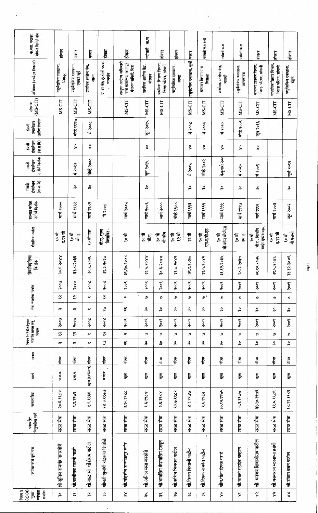| होकार दिलेले शेरा<br>क.सहा. पदावर                                     | होकार                           | नकार                                     | स्का                           | होकार                                | होकार                                                                  | क.स<br>पर्दाहरी                   | होकार                                          | होकार                          | <u>  नकार</u>              | पदोन्नती क.स (ले)                      | पदोन्नती क.स                     | पदोन्नती क.स                    | होकार                                          | होकार                                          | होकार                          |
|-----------------------------------------------------------------------|---------------------------------|------------------------------------------|--------------------------------|--------------------------------------|------------------------------------------------------------------------|-----------------------------------|------------------------------------------------|--------------------------------|----------------------------|----------------------------------------|----------------------------------|---------------------------------|------------------------------------------------|------------------------------------------------|--------------------------------|
| अभिप्राय (कार्यरत ठिकाण)                                              | पशुवैद्यकिय दवाखाना,<br>लिंगनूर | पशुवैद्यकिय दवाखाना,<br>एतवडे खुर्द      | प्राथमिक आरोग्य केंद्र,<br>आरम | प्रा आ केंद्र एंरडोली पथक<br>मालगांव | तालुका आरोग्य अधिकारी<br>यांचे कार्यालय, खानापूर<br>पंचायत समिती, विटा | प्राथमिक आरोग्य केंद्र,<br>बोरगाव | प्राथमिक शिक्षण विभाग,<br>जिल्हा परिषद, सांगली | पशुवेद्यकिय दवाखाना,<br>आष्ट्र | पशुवेद्यकिय दवाखाना, बुली  | प्रशासन विभाग प स<br>शिराळा            | प्राथमिक आरोग्य केंद्र,<br>बावची | पशुवैद्यकिय दवाखाना,<br>आगळगांव | सामान्य प्रशासन विभाग,<br>जिल्हा परिषद, सांगली | माध्यमिक शिक्षण विभाग,<br>जिल्हा परिषद, सांगली | पशुवैद्यकिय दवाखाना,<br>हैंगुळ |
| (MS-CIT)<br>संगणक                                                     | MS-CIT                          | MS-CIT                                   | MS-CIT                         |                                      | MS-CIT                                                                 | MS-CIT                            | MS-CIT                                         |                                | MS-CIT                     | MS-CIT                                 | MS-CIT                           | MS-CIT                          | MS-CIT                                         | MS-CIT                                         | MS-CIT                         |
| उत्तीर्ण दिनांक<br>टकलेखन<br>इंग्रजी                                  |                                 | नोव्हे १९९७                              | मे २००८                        |                                      |                                                                        | जून २०१५                          |                                                |                                | मे २००८                    | मे २००६                                | मे २०१०                          | नोव्हे २००९                     | जुन २०१६                                       |                                                |                                |
| टंकलेखन<br>$(\overline{q}, \overline{q}, \overline{q})$<br>इंग्रजी    |                                 | $\stackrel{\mathtt{o}}{\mathtt{\times}}$ | š                              |                                      |                                                                        | $\stackrel{\circ}{\mathbf{x}}$    |                                                |                                | š                          | š                                      | š                                | š                               | š                                              |                                                |                                |
| उत्तीर्ण दिनांक<br>टंकलेखन<br>पराठी                                   |                                 | मे २०१३                                  | नोव्हे २००८                    |                                      |                                                                        | जुन २०१५                          |                                                |                                | मे २००५                    | नोव्हे २००२                            | फेबुवारी २००                     | मे २०१०                         | मे २००९                                        |                                                | जुले २०१२                      |
| टकलेखन<br>$(\overline{q}, \overline{q}, \overline{q})$<br><b>TRUP</b> |                                 | ပွဲ                                      | ကို                            |                                      |                                                                        | 유                                 |                                                |                                | ပိုင်း                     | ္က                                     | 유                                | နှ                              | ە"                                             |                                                | နိ                             |
| शालात परीक्षा<br>उत्तीर्ण दिनांक                                      | मार्च २०००                      | मार्च १९९२                               | मार्च १९८२                     | मे २००८                              | मार्च २००५                                                             | मार्च २००६                        | मार्च २०००                                     | नोव्हे १९८८                    | मार्च १९९३                 | मार्च १९९९                             | मार्च १९९१                       | मार्च १९९७                      | मार्च १९९२                                     | मार्च २००३                                     | जून २००२                       |
| शैक्षणिक अहंता                                                        | इ.१२ वी<br>१० वी                | ैर जै<br>यी.ए.                           | १० वी पास                      | विद्यापिठ -<br>बौ.ए. मुक्त           | १०वी                                                                   | ू० जी<br><u>कों एं</u>            | बी.कॉम<br>१० वीं                               | १२ वी<br>१० वी                 | १२ वी                      | एम.ए.बी.एड<br>१० वी                    | बी.कॉम बीपीएड<br>१० वी           | १० वीं<br>F.<br>F.              | साईट सुपरवायझर<br>बी.ए., बिल्डींग<br>१० वीं    | इ.१२ वी<br>१० वीं                              | ची.एससी<br>ू० जू               |
| सेवानिवृतिचा<br>दिनांक                                                | <b>RRoc</b><br>ن<br>مە          | २०३६<br>$\ddot{x}$                       | २०२६<br>ښ<br>چو                | २०३७<br>के.<br>के                    | 28 oc.<br>$38.80$ .                                                    | 8806<br>بز<br>پو                  | 8806<br>نې<br>چ                                | २०४२<br>في.<br>پيد             | २०३७<br>$\frac{1}{\alpha}$ | २०४२<br>بر<br>پو                       | २०३५<br>38.82.                   | २०३७<br>22.3                    | २०३६<br>38.80.                                 | २०४६<br>ૢૺ                                     | २०४६<br>38.82.                 |
|                                                                       | Poola                           | २००७                                     | २००८                           | 8006                                 | २००९                                                                   | २००९                              | २००९                                           | २००९                           | २००९                       | २००९                                   | २००९                             | २००९                            | २००९                                           | २००९                                           | २००९                           |
| सेवा जेख्तेचा दिनांक                                                  | $\tilde{\mathbf{z}}$            | $\tilde{\mathbf{z}}$                     | $\sim$                         | $\tilde{\mathbf{z}}$                 | $\sim$                                                                 | ୭                                 | உ                                              | ୭                              | و                          | ' و                                    | פ                                | உ                               | உ                                              | פ                                              | உ                              |
|                                                                       | m                               | m                                        | $\tilde{}$                     | 2                                    | ميم                                                                    | ပွဲ                               | နိ                                             | ပိုင                           | နိ                         | နိ                                     | ကို                              | နိ                              | ပွဲ                                            | န္                                             | ပွဲ                            |
|                                                                       | २००७                            | २००७                                     | Soot                           | Rook                                 | २००९                                                                   | २००९                              | २००९                                           | २००९                           | २००९                       | २००९                                   | २००९                             | २००९                            | २००९                                           | २००९                                           | २००९                           |
| नियम ३ (२)(अ)नुसार<br>संवर्गात प्रत्यक्ष रुजू<br>दिनांक               | $\tilde{\mathbf{z}}$            | $\tilde{\mathbf{z}}$                     | $\sim$                         | $\tilde{\mathbf{z}}$                 | $\sim$                                                                 | פ                                 | e,                                             | உ                              | פ                          | c,                                     | פ                                | פ                               | פ                                              | D                                              | ୭                              |
|                                                                       | m                               | m                                        | $\sim$                         | 2                                    | بين                                                                    | နိ                                | န္                                             | နိ                             | နိ                         | ပွဲ                                    | ပို့                             | ပွဲ                             | ပွဲ                                            | နိ                                             | နိ                             |
| पदनाम                                                                 | परिचर                           | परिचर                                    |                                | परिचर                                | परिचर                                                                  | परिवर                             | परिचर                                          | गरिचर                          | परिचर                      | परिचर                                  | परिचर                            | गरिवर                           | पीचर                                           | परिचर                                          | परिचर                          |
| ा कर्ने                                                               | प न ड                           | इ.मा.व.                                  | खुला (१०%ग्राप) परिचर          | भ ज ब                                | ial<br>B                                                               | ţ,                                | ļ,                                             | le.                            | Ę,                         | हु<br>जुल                              | हुल                              | हु,                             | i<br>P                                         | ļ.                                             | हुल                            |
| जन्मतारीख                                                             | २०.६.१९८४                       | १.९.१९७६                                 | १.६.१६६                        | २४.३.१९७७                            | 3.80.8966                                                              | 8.5,868                           | २.६.१९८४                                       | १३.७.१९८२                      | 8.2.2900                   | १.६.१९८२                               | ३०.१२.१९७५                       | ५.२.१९७७                        | ३१.१०.१९७६                                     | 22.4.2965                                      | १८.१२.१९८६                     |
| नियुक्तीचा मार्ग<br>पदावरील                                           | सरळ सेवा                        | सरळ सेवा                                 | सरळ सेवा                       | सरळ सेवा                             | सरळ सेवा                                                               | सरळ सेवा                          | सरळ सेवा                                       | सरळ सेवा                       | सरळ सेवा                   | सरळ सेवा                               | सरळ सेवा                         | सरळ सेवा                        | सरळ सेवा                                       | सरळ सेवा                                       | सरळ सेवा                       |
| कर्मचाऱ्यांचे पूर्ण नांव                                              | श्री.सुनिल रामचंद्र नागरगोजे    | श्री बाजीराव मारुती माळी                 | श्री बाळासी धोंडीराम पाटील     | श्रीमती शुभांगी चंद्रकांत शितोळे     | श्री.मोहसीन शम्मीकपूर मणेर                                             | श्री अनिल मसा बनसोडे              | श्री भावसिंग केशवसिंग रजपूत                    | श्री.संचिन भिमराव पाटील        | श्री विजय शिवाजी पार्टील   | $\mathbf{r}$<br>श्री दिपक नामदेव पाटील | श्रीम गीता दिपक गराडे            | श्री मारुती महादेव चव्हाण       | श्री. धनंजय शिवाजीराव पाटील                    | श्री बसवराज मल्लाप्पा हडंगी                    | श्री.संग्राम बबन पार्टाल       |
| $(3)$ $(4)$<br>नियम ३<br>संख्या<br>क्रमांक<br>$\frac{1}{2}$           | နိ                              | $\widetilde{\widetilde{\pi}}$            | $\tilde{\mathbf{r}}$           | 诛                                    | $\frac{8}{3}$                                                          | م<br>م                            | n.                                             | ్గి                            | $\approx$                  | s.                                     | š                                | ⊱                               | $\tilde{\mathbf{x}}$                           | e\$                                            | $\frac{8}{3}$                  |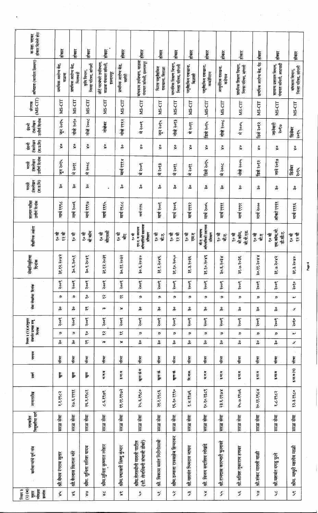| होकार दिलेले शेरा<br>क.सहा. पदावर                              |                                           |                                            |                                              |                                                                      |                                            |                                                                          |                             |                                                |                                |                                                     |                             |                                                |                             |                                                |                                        |
|----------------------------------------------------------------|-------------------------------------------|--------------------------------------------|----------------------------------------------|----------------------------------------------------------------------|--------------------------------------------|--------------------------------------------------------------------------|-----------------------------|------------------------------------------------|--------------------------------|-----------------------------------------------------|-----------------------------|------------------------------------------------|-----------------------------|------------------------------------------------|----------------------------------------|
| अभिप्राय (कार्यरत ठिकाण)                                       | होकार<br>प्राथमिक आरोग्य केंद्र,<br>वाळवा | होकार<br>प्राथमिक आरोग्य केंद्र,<br>भिलाडी | होकार<br>जिल्हा परिषद, सांगली<br>कृषि विभाग, | होकार<br>छोटे पाटबंधारे उपविभाग,<br>वाळवा पंचायत समिती,<br>इस्लामपूर | होकार<br>प्राथमिक आरोग्य केंद्र,<br>कामेरी | होकार<br>बांधकाम उपविभाग, वाळवा<br>पंचायत समिती, इस्लामपूर               | होकार<br>फिरता पशुवैद्यकिय  | होकार                                          | होकार                          | होकार                                               | होकार                       | होकार                                          | होकार                       | होकार                                          | होकार                                  |
|                                                                |                                           |                                            |                                              |                                                                      |                                            |                                                                          | दवाखाना, शिराळा             | माध्यमिक शिक्षण विभाग,<br>जिल्हा परिषद, सांगली | पशुवैद्यकिय दवाखाना,<br>बिळाशी | पशुवैद्यक्तिय दवाखाना,<br>कवडेपिरान                 | आयुर्वेदिक दवाखना,<br>कडगाव | प्राथमिक शिक्षण विभाग,<br>जिल्हा परिषद, सांगली | प्राथमिक आरोग्य केंद्र, पेठ | पंचायत समिती, आटपाडी<br>सामान्य प्रशासन विभाग, | जिल्हा परिषद, सांगली<br>बांधकाम विभाग, |
| $(MS-CIT)$<br>संगणक                                            | MS-CIT                                    | MS-CIT                                     | MS-CIT                                       | MS-CIT                                                               | MS-CIT                                     | MS-CIT                                                                   | MS-CIT                      | MS-CIT                                         | MS-CIT                         | NS-CIT                                              | MS-CIT                      | MS-CIT                                         | MS-CIT                      | MS-CIT                                         | MS-CIT                                 |
| उत्तीर्ण दिनांक<br>टकलेखन<br>इंग्रजी                           | जून २०१५                                  | नोव्हे २०१०                                | नोव्हे २००८                                  | नोव्हेबर                                                             | नोव्हे १९९२                                | मे २००९                                                                  | जून २०१५                    | नोव्हे २०१३                                    | मे २०११                        | डिसे २०१५                                           | नोव्हे २००८                 | मे २००५                                        | डिसे २०१२                   | जानेवारी<br>२०१७                               | डिसेंबर<br>२०१५                        |
| $(\overline{q},\overline{q},\overline{q})$<br>टकलेखन<br>है     | $\stackrel{\circ}{\mathbf{x}}$            | s.                                         | š                                            | š                                                                    | ပွဲ                                        | š                                                                        | နိ                          | š                                              | š                              | š                                                   | š                           | ş                                              | š                           | š                                              | š                                      |
| उत्तीर्ण दिनांक<br>टकलेखन<br><b>Fort</b>                       | जुन २०१५                                  | मे २०११                                    | मे २००८                                      |                                                                      | मार्च १९९४                                 | मे २००९                                                                  | मे २०१३                     | मे २०११                                        | मे २०११                        | डिसे २०१५                                           | वि २००८                     | नोव्हे २००५                                    | डिसे २०१२                   | जाने २०१७                                      | डिसेबर<br>२०१५                         |
| टकलेखन<br>$(\overline{q}, \overline{q}, \overline{q})$<br>स्लि | ပွဲ                                       | နိ                                         | 유                                            | $\bullet$                                                            | ပို့                                       | နိ                                                                       | နိ                          | နိ                                             | ပွဲ                            | နိ                                                  | နိ                          | နိ                                             | 유                           | ကို                                            | ပွဲ                                    |
| शालात परीक्षा<br>उत्तीर्ण दिनांक                               | मार्च १९९८                                | मार्च २००६                                 | मार्च १९९७                                   | मार्च १९९५                                                           | मार्च १९८८                                 | मार्च १९९६                                                               | मार्च २००१                  | मार्च २००६                                     | मार्च १९९२                     | मार्च २००५                                          | मार्च १९९१                  | मार्च १९९१                                     | मार्च २०००                  | ऑक्टो १९९९                                     | मार्च १९९६                             |
| शैक्षणिक अर्हता                                                | १० वी<br>१२ वी                            | १० वी                                      | बी कॉम<br>१० वी                              | बौएससी<br>१० वी                                                      | ैं है<br>$\frac{p}{\overline{p}}$          | अभियांत्रिकी सहाय्यक<br>एम.ए. व स्थापत्य<br>प्रशिक्षण<br>ैं है           | ू० अँ<br>्<br>बी            | १० वी<br>१२ वी                                 | १० वी<br>Ę                     | अभियांत्रिकी सहाय्यक<br>बौ.ए. स्थापत्य<br>प्रशिक्षण | ी<br>२<br>र्को.ए.           | बी.पी.एड.<br>बी.कॉम,<br>१० वी                  | ी<br>ू<br>र्न ह             | एम.कॉम,जी.<br>डी.सी.ए.<br>१० वी                | १२ वी<br>१० वीं                        |
| सेवानिवृतिचा<br>दिनांक                                         | २०४२<br>38.82.                            | २०५१<br>ې<br>مې                            | $\frac{8}{10}$<br>30.8                       | २०३९<br>38.87.                                                       | २०३२<br>30.88                              | $\frac{8}{3}$<br>३०.६.२                                                  | $\frac{2}{3}$<br>३१.१.२     | ३१.१०.२०५०                                     | ă<br>∾<br>$\ddot{\tilde{z}}$   | ३१.१०.२०४१                                          | $\lambda$ Èo<br>३०.६.२      | ăéo<br>38.0.8                                  | 280<br>३०.११.२              | ०४२<br>३१.७.२                                  | ३१.३.२०४०                              |
|                                                                | २००९                                      | २००९                                       | २००९                                         | २००९                                                                 | २००९                                       | Sood                                                                     | २००९                        | २००९                                           | २००९                           | २००९                                                | २००९                        | २००९                                           | २००९                        | २००९                                           | २०१०                                   |
| सेवा जेखतेचा दिनांक                                            | D                                         | פ                                          | ್ಲಿ                                          | $\tilde{\mathbf{z}}$                                                 | $\approx$                                  | و                                                                        | פ                           | D                                              | ø                              | உ                                                   | פ                           | פ                                              | ø                           | உ                                              | شمنه                                   |
|                                                                | ္ကိ                                       | ؞                                          | s.                                           | m                                                                    | $\rightarrow$                              | နိ                                                                       | ؊                           | ್ಲಿ                                            | နိ                             | နိ                                                  | န္                          | ပိုင                                           | 상                           | နိ                                             | 5                                      |
|                                                                | २००९                                      | २००९                                       | २००९                                         | २००९                                                                 | २००९                                       | २००९                                                                     | २००९                        | २००९                                           | २००९                           | २००९                                                | २००९                        | २००९                                           | २००९                        | २००९                                           | २०१०                                   |
| नियम ३ (२)(अ)नुसार<br>संबंगीत प्रत्यक्ष रुजू<br>दिनांक         | ø                                         | פ                                          | ್ಲಿ                                          | $\tilde{\tilde{}}$                                                   | $\stackrel{\sim}{\sim}$                    | உ                                                                        | உ                           | פ                                              | פ                              | פ                                                   | פ                           | פ                                              | פ                           | ୭                                              | $\sim$                                 |
|                                                                | နိ                                        | 앟                                          | $\overset{\bullet}{\sim}$                    | m                                                                    | $\blacktriangleright$                      | နိ                                                                       | န္                          | 유                                              | ကိ                             | နိ                                                  | န့                          | 상                                              | နိ                          | နိ                                             | بی                                     |
| पदनाम                                                          | परिचर                                     | संदर                                       | परिचर                                        | परिचर                                                                | परिचर                                      | परिचर                                                                    | परिचर                       | परिचर                                          | गरिक                           | गरिचर                                               | परिचर                       | परिचर                                          | गरिक                        | परिवर                                          | 4न्द्र                                 |
| ţ                                                              | हुल                                       | हून                                        | हुल                                          | भ,ज.ब                                                                | इ.मा.व                                     | खुला खे.म                                                                | खाड़ी                       | खुला खे.                                       | वि. जाअ                        | भ.ज.ब                                               | इ.मा.व                      | इ.मा व                                         | इ.मा.व                      | इ.स. व                                         | इ.म.व (म)                              |
| जन्मतारीख                                                      | १.१.१९८२                                  | २७.६.१९११                                  | २६.९.१९८१                                    | ८.६.१९७९                                                             | १९.११.१९७२                                 | 24.5.8860                                                                | २१.१.१९८६                   | १६.१०.१९१०                                     | १.४.१९७६                       | १०.१०.१९८९                                          | ४०४४ ३ ६२                   | २५.७.१९७६                                      | २०.११.१९८४                  | १.८.१९८२                                       | १२.३.१९८०                              |
| नियुक्तीचा मार्ग<br>पदावरील                                    | सरळ सेवा                                  | सरळ सेवा                                   | सरळ सेवा                                     | सरळ सेवा                                                             | सरळ सेवा                                   | सरळ सेवा                                                                 | सरळ सेवा                    | सरळ सेवा                                       | सरळ सेवा                       | सळ सेवा                                             | सळ सेवा                     | सरळ सेवा                                       | ख़<br>सरळ                   | सरळ सेवा                                       | सरळ सेवा                               |
| कर्मचाऱ्यांचे पूर्ण नांव                                       | श्री वैभव रंगराव सुतार                    | श्री कैलास विलास मोरे                      | श्रीम. सुनिता सतिश यादव                      | श्रीम सुनिता कृष्णात लोहार                                           | श्रीम पद्मावती सिष्डु कुंभार               | $\vec{r}$ , the detection of $\vec{r}$<br>श्रीम तेजस्वीनी मारुती पार्टील | श्री. विकास वसंत गिरीगोसावी | श्रीम.उज्वला रावसाहेब हिप्परकर                 | श्री.यशवंत भिमराव जाधव         | श्री. विजय सदाशिव लोखंडे                            | श्री.रामदास कारभारी फुलावरे | श्री संतिश तुकाराम हणबर                        | श्री शंकर मारुती माळी       | श्री यशवंत दगडु फुले                           | श्रीम. माधुरी महादेव माळी              |
| नियम ३<br>-<br>- नुसार<br>ज्येष्ठता<br>- क्रमांक               | $\frac{5}{8}$                             | یپ                                         | ट्रै                                         | $\mathbf{\hat{x}}$                                                   | $\tilde{\mathbf{x}}$                       | o<br>J                                                                   | $\widetilde{\mathbf{z}}$    | $\tilde{\mathbf{z}}$                           | m.<br>J                        | یو                                                  | کړ<br>ک                     | س<br>مح                                        | స్త్రి                      | y                                              | $\tilde{\mathbf{z}}$                   |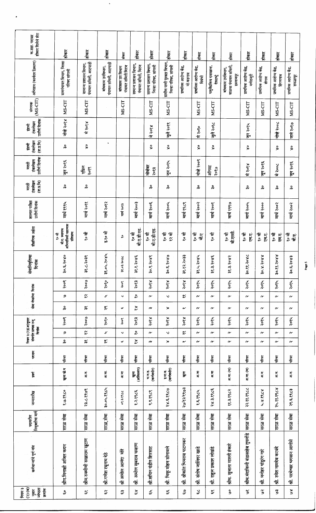| होकार दिलेले शेरा<br>क.सहा. पदावर                               | होकार                                                        | होकार                                          | होकार                                    | रोकार                                 | होकार                                        | होकार                                          | होकार                                              | होकार                                           | तोकार                             | होकार                               | होकार                                                | होकार                                | होकार                            | होकार                               | होकार                              |
|-----------------------------------------------------------------|--------------------------------------------------------------|------------------------------------------------|------------------------------------------|---------------------------------------|----------------------------------------------|------------------------------------------------|----------------------------------------------------|-------------------------------------------------|-----------------------------------|-------------------------------------|------------------------------------------------------|--------------------------------------|----------------------------------|-------------------------------------|------------------------------------|
| अभिप्राय (कार्यरत ठिकाण)                                        | ग्रामपंचायत विभाग, जिल्हा<br>परिषद सांगली                    | पंचायत समिती, आटपाडी<br>सामान्य प्रशासन विभाग, | पंचायत समिती, आटपाडी<br>बांधकाम उपविभाग, | पंचायत समिती मिरज<br>बांधकाम उप विभाग | सामान्य प्रशासन विभाग,<br>पंचायत समिती, मिरज | सामान्य प्रशासन विभाग,<br>जिल्हा परिषद, सांगली | ग्रामीण पाणी पुरवठा विभाग,<br>जिल्हा परिषद, सांगली | प्राथमिक आरोग्य केंद्र,<br>मो वडगाव             | प्राथमिक आरोग्य केंद्र,<br>दिवंची | पशुवेद्यकिय दवाखाना,<br>देवराष्ट्रे | वाळवा पंचायत समिती,<br>बांधकाम उपविभाग,<br>इस्लामपूर | प्राथमिक आरोग्य केंद्र,<br>मणेराजूरी | प्राथमिक आरोग्य केंद्र,<br>शेगाव | प्राथमिक आरोग्य केंद्र,<br>हिंगणगाव | प्राथमिक आरोग्य केंद्र,<br>डफळापूर |
| $(MS-CIT)$<br>संगणक                                             | MS-CIT                                                       | MS-CIT                                         |                                          | MS-CIT                                |                                              | MS-CIT                                         | MS-CIT                                             |                                                 | MS-CIT                            | MS-CIT                              |                                                      | MS-CIT                               | MS-CIT                           | MS-CIT                              | MS-CIT                             |
| उत्तीर्ण दिनांक<br>टकलेखन<br>इंग्रजी                            | नोव्हे २०१४                                                  | मे २०१४                                        |                                          |                                       |                                              | मे २०१४                                        | जुले २०१९                                          |                                                 | मे २०१०                           | जुले २०१८                           |                                                      | जुन २०१५                             |                                  | नोव्हे २००८                         | वाने २०१७                          |
| टंकलेखन<br>$(\overline{q}, \overline{q}, \overline{q})$<br>怎    | ကို                                                          | $\stackrel{\circ}{\mathbf{x}}$                 | ۰                                        |                                       |                                              | š                                              | š                                                  |                                                 | $\overset{\circ}{\mathsf{x}}$     | š                                   |                                                      | $\overset{\circ}{\mathsf{x}}$        |                                  | š                                   | š                                  |
| उत्तीर्ण दिनांक<br>टंकलेखन<br>Ţ                                 | जुन २०१६                                                     | एप्रिल<br>२०१९                                 |                                          |                                       |                                              | नोकंबर<br>२०१३                                 | जुन २०१५                                           |                                                 | नोव्हे २००९                       | ऑगस्ट<br>२०१७                       |                                                      | मे २०१४                              | जून २०१६                         | पे २००८                             | जून २०१६                           |
| टकलेखन<br>$(\overline{q}, \overline{q}, \overline{q})$<br>मरावी | နိ                                                           | ပို့                                           |                                          |                                       |                                              | ပွဲ                                            | န္                                                 |                                                 | န္                                | င္ကိ                                |                                                      | ပွဲ                                  | 유                                | ္ကိ                                 | ္က                                 |
| शालात परीक्षा<br>उत्तीर्ण दिनांक                                | मार्च १९१५                                                   | मार्च २०११                                     | मार्च २०१२                               | मार्च २०१३                            | मार्च २००३                                   | मार्च २००६                                     | मार्च २००५                                         | मार्च १९८९                                      | मार्च २००२                        | मार्च २००१                          | मार्च १९९७                                           | मार्च २००५                           | मार्च २०००                       | मार्च २००२                          | मार्च २००२                         |
| शेक्षणिक अर्हता                                                 | अभियांत्रिकी सहाय्यक<br>बौ.ए. स्थापत्य<br>प्रशिक्षण<br>१० वी | ै० जै                                          | इ.१० वी                                  | ಪಿ                                    | बी.ए.डी.एड.<br>१० वी                         | बी.ए.डी.एड.<br>ू० जी                           | ्<br>१० जू<br>१२ वी                                | ू० जू                                           | ी<br>२<br>र्ने.ए                  | १० वीं                              | बी.एस्सी.<br>१० वी                                   | ू० वी<br>F.<br>E.                    | रू श्<br>एम.ए.                   | १० वीं<br>एम.ए.                     | १० जी<br>नी.ए.                     |
| सेवानिवृतिचा<br>दिनांक                                          | ०१०६<br>$rac{1}{2}$                                          | २०३९<br>्र<br>क्र                              | 5084<br>38.04.                           | 2086<br>38.03.                        | io Xe<br>३१.१.२                              | $\frac{8}{3}$<br>३०.९.२                        | 6.80<br>30.5.2                                     | दे०३३<br>38.82.                                 | hRoi<br>३१.५.२                    | ăXo<br>38.3.2                       | $\frac{3}{2}$<br>38.3.2                              | ३०.११.२०४८                           | RRoi<br><b>S-x</b> . ot          | 88ol<br>३०.११.२                     | <b>Exo</b><br>३०.६.२               |
|                                                                 | २००९                                                         | २००७                                           | २०१०                                     | ಕಿಂಂ                                  | २०१३                                         | १०१४                                           | २०१४                                               | १०१४                                            | २०१५                              | २०१५                                | २०१५                                                 | २०१५                                 | २०१५                             | २०१५                                | २०१५                               |
| सेवा जेख्तेचा दिनांक                                            | ୭                                                            | $\widetilde{\mathbf{v}}$                       | سی                                       | $\checkmark$                          | ್ಲಿ                                          | نه                                             | $\checkmark$                                       | $\approx$                                       | $\sim$                            | $\sim$                              | $\sim$                                               | $\sim$                               | $\sim$                           | $\sim$                              | $\sim$                             |
|                                                                 | ္ကိ                                                          | $\widetilde{\mathfrak{m}}$                     | $\tilde{\widetilde{}}$                   | œ                                     | ≿                                            | m                                              | ≫                                                  | $\tilde{}$                                      | $\sim$                            | $\boldsymbol{\alpha}$               | $\sim$                                               | $\sim$                               | $\sim$                           | v                                   | $\boldsymbol{\alpha}$              |
| नियम ३ (२)(अ)नुसार                                              | २००९                                                         | २००७                                           | $\sqrt[3]{\circ \mathcal{E}}$            | २००९                                  | २०१३                                         | २०१४                                           | १०१४                                               | ४०१४                                            | २०१५                              | २०१५                                | २०१५                                                 | २०१५                                 | २०१५                             | २०१५                                | २०१५                               |
| संवर्गात प्रत्यक्ष रुजू<br>दिनांक                               | פ<br>နိ                                                      | $\approx$<br>$\approx$                         | ىر<br>$\approx$                          | $\checkmark$<br>w                     | ನಿ<br>$\stackrel{\textstyle\thicksim}{\sim}$ | $\sim$<br>w                                    | $\checkmark$<br>$\boldsymbol{\varkappa}$           | $\boldsymbol{\tilde{\mathit{x}}}$<br>$\tilde{}$ | $\boldsymbol{\alpha}$<br>$\sim$   | $\sim$<br>$\sim$                    | $\sim$<br>$\sim$                                     | $\boldsymbol{\alpha}$<br>$\sim$      | $\sim$<br>$\sim$                 | $\sim$<br>$\sim$                    | $\sim$<br>$\sim$                   |
| पदनाम                                                           | परिचर                                                        | परिचर                                          | परिचर                                    | परिचर                                 | परिचर                                        | स्कू                                           | परिचर                                              | र्गल                                            | परिचर                             | परिचर                               | ।<br>सर्वे                                           | स्कू                                 | मीनर                             | परिचर                               | परिचर                              |
| ţ                                                               | खुला खे.म                                                    | ज.ज.                                           | ज़,<br>ज़                                | ज.स                                   | (अस्थित्यंग)<br>क<br>क                       | (कर्णबधीर)<br>$\frac{1}{2}$                    | $(\pi$ र्णवर्धीर)<br>इ.मा.व.                       | E,                                              | ह<br>ह                            | 厉厉                                  | अ.ना. (म)                                            | ज.ज. (म)                             | ज, जू                            | प्राप्त                             | ज,                                 |
| जन्मतारीख                                                       | 2.19.820                                                     | २३.८.१९७९                                      | 30.04.8964                               | ०९३.१९८८                              | १.२.१९८६                                     | १.९.१९८९                                       | २४.६.१९८७                                          | २७/१२/१९७३                                      | १.६.१९८५                          | २४.३.१९८६                           | ११.३.१९८२                                            | २२.११.१९८८                           | 8788.8.7                         | २५.११.१९८४                          | २९.६.१९८३                          |
| <br> <br> नियुक्तीचा मार्ग                                      | सरळ सेवा                                                     | सरळ सेवा                                       | सरळ, सेवा                                | सरळ सेवा                              | सरळ सेवा                                     | सळ सेवा                                        | सरळ सेवा                                           | सरळ सेवा                                        | सरळ सेवा                          | सरळ सेवा                            | सरळ सेवा                                             | सरळ सेवा                             | सरळ सेवा                         | सरळ सेवा                            | सरळ सेवा                           |
| कर्मचाऱ्यांचे पूर्ण नांव                                        | श्रीम.मिनाक्षी अजित कदम                                      | श्रीम.रुक्मीणी सखाराम खुटाण                    | श्री गणेश रघुनाथ देठे                    | 乍<br>श्री अमोल आनंदा                  | श्री. अमोल सुबराव चव्हाण                     | श्री.संचिन पंडीत शिरसाट                        | श्री. भिक्तू मोहन सोनावले                          | श्री. श्रीकांत भिमराव पाटणकर                    | श्री. संतोष जालिंदर खाडे          | श्री. राहुल प्रकाश लोखंडे           | श्रीम. सुजाता मारुती हंकारे                          | श्रीम मंदाकिनी बंडासाहेब तुपलॉडे     | श्री. मनोहर पांडुरंग गारे        | श्री. रमेश नामदेव करवंदे            | श्री. परमेश्वर भगवान आगेरे         |
| नियम ३<br>(२) (ब)<br>नुसार<br>ज्येष्ठता                         | ပ္ပိ                                                         | $\widetilde{\mathbf{w}}$                       | $\tilde{\mathbf{w}}$                     | œ                                     | ؿ                                            | ىق                                             | س<br>س                                             | ್ಯ                                              | ž                                 | š                                   | ۏ                                                    | ٷ                                    | وه                               | $\tilde{5}$                         | ∢و                                 |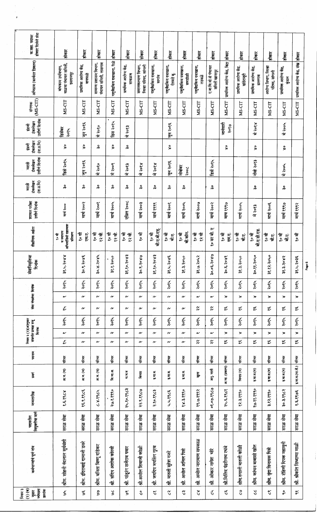| होकार दिलेले शेरा<br>क.सहा. पदावर                                   | होकार                                                 | होकार                             | होकार                                          | होकार                       | होकार                            | होकार                                     | होकार                         | होकार                             | होकार                          | Rienk                                   | होकार                                 | होकार                        | होकार                                                                              | होकार                             | होकार                                 | होकार                               | होकार                          |
|---------------------------------------------------------------------|-------------------------------------------------------|-----------------------------------|------------------------------------------------|-----------------------------|----------------------------------|-------------------------------------------|-------------------------------|-----------------------------------|--------------------------------|-----------------------------------------|---------------------------------------|------------------------------|------------------------------------------------------------------------------------|-----------------------------------|---------------------------------------|-------------------------------------|--------------------------------|
| अभिप्राय (कार्यरत ठिकाण)                                            | वाळवा पंचायत समिती,<br>बांधकाम उपविभाग,<br>इस्लामपूर  | प्राथमिक आरोग्य केंद्र,<br>बायफळे | सामान्य प्रशासन विभाग,<br>पंचायत समिती, तासगाव | पशुवैद्यक्तिय दवाखाना, रिळे | प्राथमिक आरोग्य केंद्र,<br>सावळज | समाजकल्याण विभाग,<br>जिल्हा परिषद, सांगली | पशुवेद्यकिय दवाखाना,<br>सागंव | पशुवैद्यकिय दवाखाना,<br>ऐतवडे बु. | पशुवेद्यकिय दवाखाना,<br>समडोळी | पशुवेद्यकिय दवाखाना,<br>तडवळे           | ए.बा.वि.यो.से पंचायत<br>समिती खानापुर | प्राथमिक आरोग्य केंद्र, विटा | प्राथमिक आरोग्य केंद्र,<br>खंडेराजूरी                                              | प्राथमिक आरोग्य केंद्र,<br>बालगाव | आरोग्य विभाग, जिल्हा<br>परिषद, सांगली | प्राथमिक आरोग्य केंद्र,<br>is<br>Go | प्राथमिक आरोग्य केंद्र, संख    |
| $(MS-CIT)$<br>संगणक                                                 | MS-CIT                                                | MS-CIT                            | MS-CIT                                         | MS-CIT                      | MS-CIT                           | MS-CIT                                    | MS-CIT                        | MS-CIT                            | MS-CIT                         | MS-CIT                                  | MS-CIT                                | MS-CIT                       | MS-CIT                                                                             | MS-CIT                            | MS-CIT                                | MS-CIT                              | MS-CIT                         |
| उत्तीर्ण दिनांक<br>टंकलेखन<br>ईसज़ी                                 | डिसेंबर<br>२०१५                                       | जुन २०१६                          | मे २०१०                                        | डिस २०१५                    | मे २०१३                          |                                           |                               | जुन २०१६                          |                                |                                         |                                       | जानेवारी<br>२०१७             |                                                                                    | मे २०१४                           |                                       | मे २००५                             |                                |
| $(\overline{q},\overline{q},\overline{q})$<br>टंकलेखन<br>्<br>इस्रो | š                                                     | $\overset{\circ}{\mathbf{x}}$     | ပွဲ                                            | š                           | ္ကိ                              |                                           |                               | $\stackrel{\circ}{\mathsf{x}}$    |                                |                                         |                                       | š                            |                                                                                    | š                                 |                                       | $\stackrel{\circ}{\mathbf{x}}$      |                                |
| उत्तीर्ण दिनांक<br>टकलेखन<br>Ē                                      | डिसे २०१५                                             | जुन २०१६                          | वि २०१०                                        | मे २००९                     | मे २०१३                          | ४४०६ म                                    | मे २०१४                       | जुन २०१६                          | नोव्हेबर<br>Sooc               |                                         | डिसें २०१५                            |                              |                                                                                    | नोव्हे २०१३                       |                                       | Hood                                |                                |
| टकलेखन<br>$(\overline{q},\overline{q},\overline{q})$<br>मराठी       | နိ                                                    | ္ဂိ                               | 유                                              | နိ                          | နိ                               | ္ကိ                                       | ္ကိ                           | ္က                                | ပိုင                           |                                         | ္ကိ                                   |                              |                                                                                    | ္ကိ                               |                                       | ္ကိ                                 |                                |
| शालात परीक्षा<br>उत्तीर्ण दिनकि                                     | मार्च २०००                                            | मार्च २००२                        | मार्च २००१                                     | मार्च २००५                  | एप्रिल २००८                      | मार्च २००३                                | मार्च १९९९                    | मार्च २००१                        | मार्च २००५                     | मार्च २००७                              | मार्च २००२                            | माच १९९७                     | मार्च २००५                                                                         | मे २०१३                           | मार्च २००६                            | मार्च १९९७                          | मार्च १९९२                     |
| शेक्षणिक अर्हता                                                     | अभियांत्रिकी सहाय्यक<br>व स्थापत्य<br>प्रशिक्षण<br>信息 | ी<br>२<br>E.<br>E.                | ्दी<br>२८<br>रू वी                             | १२ वी.<br>१० वी             | १० वी<br>्य के<br>१२             | १० जी                                     | बी.ए.बी.एड्.<br>ू० जू         | ू० जी<br>वीं एं.                  | बी.कॉम.<br>ू० जै               | १० वीं<br>१२ वी                         | Þ<br>१० वर बी.                        | ू० वी<br>Ę.                  | ील<br>२<br>र्जाल.                                                                  | बी.ए.डी.एड<br>ू<br>२० ज           | १० वी<br>र्ग एं.<br>बा                | रू वो<br>्<br>बो                    | १० जी                          |
| सेवानिवृत्तिचा<br>दिनांक                                            | 8806<br>بز<br>پيد                                     | 5886<br>्रू<br>१०                 | 5084<br>४.०६                                   | solgo<br><u>જે.</u>         | हे १०१.<br>$\ddot{x}$            | १०४७<br>ೢೢ                                | <b>EROL</b><br>૱ૹ             | २०४६<br>نړ<br>پېړ                 | ono<br>જે.<br>જે               | ३१.७.२०५२                               | ३०.०६.२०४७                            | ३०.६.२०४१                    | ohos<br>३१.३                                                                       | ३०.११.२०५०                        | onok.<br>३१.१२                        | २०४२<br><b>ax.</b>                  | ३१.५.२०३६                      |
|                                                                     | २०१५                                                  | २०१५                              | २०१५                                           | २०१५                        | २०१५                             | २०१५                                      | २०१५                          | २०१५                              | २०१५                           | २०१५                                    | २०१५                                  | २०१५                         | २०१५                                                                               | २०१५                              | २०१५                                  | २०१५                                | २०१५                           |
| सेवा जेख्सेचा दिनांक                                                | $\tilde{}$                                            | $\sim$                            | $\sim$                                         | $\sim$                      | $\sim$                           | $\sim$                                    | $\sim$                        | $\sim$                            | $\sim$                         | $\checkmark$                            | $\tilde{}$                            | $\mathsf{x}$                 | $\boldsymbol{\infty}$                                                              | $\ast$                            | ≫                                     | $\infty$                            | $\mathbf{\hat{z}}$             |
|                                                                     | $\tilde{\mathbf{v}}$                                  | $\sim$                            | $\sim$                                         | $\sim$                      | $\sim$                           | $\sim$                                    | $\boldsymbol{\alpha}$         | $\sim$                            | $\sim$                         | $\tilde{\mathbf{z}}$                    | ۶č                                    | ىپە                          | ىپ                                                                                 | ڛ                                 | ڛ                                     | ىپ                                  | ڛ                              |
|                                                                     | २०१५                                                  | २०१५                              | २०१५                                           | २०१५                        | २०१५                             | २०१५                                      | २०१५                          | २०१५                              | २०१५                           | २०१५                                    | २०१५                                  | २०१५                         | २०१५                                                                               | २०१५                              | २०१५                                  | २०१५                                | २०१५                           |
| नियम ३ (२)(अ)नुसार<br>सवगांत प्रत्यक्ष रुजू<br>दिनांक               | $\sim$                                                | $\alpha$                          | $\sim$                                         | $\boldsymbol{\alpha}$       | $\boldsymbol{\alpha}$            | $\sim$                                    | $\sim$                        | $\sim$                            | $\sim$                         | $\sim$                                  | $\sim$                                | $\mathbf{\hat{z}}$           | $\mathbf{\hat{z}}$                                                                 | $\mathbf{\hat{z}}$                | $\boldsymbol{\times}$                 | $\mathbf{v}$                        | $\mathbf{\hat{x}}$             |
|                                                                     | $\tilde{z}$                                           | $\sim$                            | $\sim$                                         | $\sim$                      | $\alpha$                         | $\sim$                                    | $\sim$                        | $\sim$                            | $\sim$                         | $\approx$                               | $\widetilde{\mathbf{r}}$              | ىپ                           | مپ                                                                                 | ىپ                                | بيا                                   | ىپ                                  | ڛ                              |
| पदनाम                                                               | परिनर                                                 | ्<br>सं                           | हैं                                            | र्क<br>हिं                  | र्म<br>सं                        | परिचर                                     | गरित्र                        | गरिचर                             | परिवर                          | पीचर                                    | परिवर                                 | परिवर                        | पीचर                                                                               | परिचर                             | परिम                                  | परिचर                               | गरिवर                          |
| 厦                                                                   | अज.(म)                                                | म.ज. (म)                          | अ.ज. (म)                                       | वि.जा.अ.                    | म ज.व                            | सामव                                      | इ.मा.व.                       | इ.मा.व.                           | इ.मा.व.                        | ţ,                                      | 乍<br>$\mathbb{F}$                     | अ.जा. (प्रकल्प)              | $\left( \overline{\mathbf{H}}\mathbf{H}\mathbf{W}\left( \mathbf{H}\right) \right)$ | इ.मा.व.(म)                        | इ.मा.व.(म)                            | इ.मा.व.(म)                          | इ.मा.व.(मा.सै.)                |
| जन्मतारीख                                                           | १.६.१९८४                                              | १६,९,१९८६                         | 078887                                         | २७.१.१९९०                   | २५.१०.१९८३                       | २२.९.१९८७                                 | २.१०.१९८३                     | 4.4.8965                          | १४.३.१९९०                      | १९.७.१९९२                               | ०१.०७.१९८७                            | 24.5.82.2                    | १२.३.१९९०                                                                          | १७.११.१९९०                        | ३.१२.१९९०                             | ३०.३.१९८२                           | १.६.१९७६                       |
| नियुक्तीचा मार्ग<br>पदावरील                                         | सरळ सेवा                                              | सरळ सेवा                          | सरळ सेवा                                       | सरळ सेवा                    | सरळ सेवा                         | सरळ सेवा                                  | सरळ सेवा                      | सरळ सेवा                          | सरळ सेवा                       | सरळ सेवा                                | सरळ सेवा                              | सरळ सेवा                     | सरळ सेवा                                                                           | सरळ सेवा                          | सरळ सेवा                              | सरळ सेवा                            | सरळ सेवा                       |
| कर्मचाऱ्यांचे पूर्ण नांव                                            | श्रीम. सोहनी नंदलाल सुर्यवंशी                         | श्रीम. इंदिराबाई दामाजी डवरे      | श्रीम. वनिता विष्णू दांडेकर                    | संदिप अशोक कोरवी<br>∙हूं    | पांडूरंग सर्जराव पवार<br>ीहर     | श्री अमील शिवाजी कोळी                     | श्री. जयदिप जयसिंग गुरव       | श्री. मारुती सुरेश गर्नरे         | स्री. अमील अमिल पिर            | अमोल नारायाण सपकाळ<br>द्गं              | 专<br>श्री. ओकार नारोश                 | श्री मिलिंद पंढरीनाथ रधंवे   | श्रीम रुपाली मारुती कोळी                                                           | श्रीम. कांचन बाबासी खोत           | श्रीम. वृंदा विनायक पिसे              | श्रीम. रोहिणी दिपक महामुनी          | श्री. श्रीकांत सिध्दाप्पा माळी |
| $(3)$ $(4)$<br>नियम ३<br>ज्येष्ठता<br>क्रमांक<br>$\frac{1}{2}$      | وه                                                    | س<br>و                            | 3                                              | ٷ                           | $\frac{6}{5}$                    | $\mathcal{S}$                             | $\tilde{\mathcal{C}}$         | $\Im$                             | ۵Ť,                            | $\stackrel{\textstyle\thicksim}{\circ}$ | $\stackrel{5}{\vee}$                  | $\mathfrak{r}$               | ని                                                                                 | $\mathcal{S}$                     | $\mathfrak{c}$                        | ş.                                  | $\tilde{\check{}}$             |